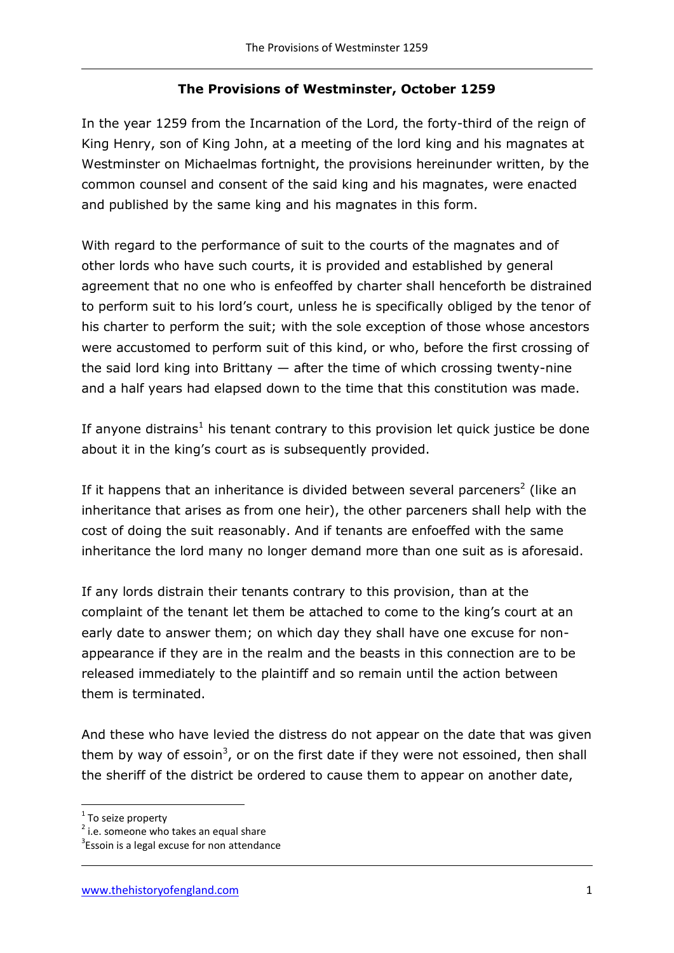## **The Provisions of Westminster, October 1259**

In the year 1259 from the Incarnation of the Lord, the forty-third of the reign of King Henry, son of King John, at a meeting of the lord king and his magnates at Westminster on Michaelmas fortnight, the provisions hereinunder written, by the common counsel and consent of the said king and his magnates, were enacted and published by the same king and his magnates in this form.

With regard to the performance of suit to the courts of the magnates and of other lords who have such courts, it is provided and established by general agreement that no one who is enfeoffed by charter shall henceforth be distrained to perform suit to his lord's court, unless he is specifically obliged by the tenor of his charter to perform the suit; with the sole exception of those whose ancestors were accustomed to perform suit of this kind, or who, before the first crossing of the said lord king into Brittany  $-$  after the time of which crossing twenty-nine and a half years had elapsed down to the time that this constitution was made.

If anyone distrains<sup>1</sup> his tenant contrary to this provision let quick justice be done about it in the king's court as is subsequently provided.

If it happens that an inheritance is divided between several parceners<sup>2</sup> (like an inheritance that arises as from one heir), the other parceners shall help with the cost of doing the suit reasonably. And if tenants are enfoeffed with the same inheritance the lord many no longer demand more than one suit as is aforesaid.

If any lords distrain their tenants contrary to this provision, than at the complaint of the tenant let them be attached to come to the king's court at an early date to answer them; on which day they shall have one excuse for nonappearance if they are in the realm and the beasts in this connection are to be released immediately to the plaintiff and so remain until the action between them is terminated.

And these who have levied the distress do not appear on the date that was given them by way of essoin<sup>3</sup>, or on the first date if they were not essoined, then shall the sheriff of the district be ordered to cause them to appear on another date,

**.** 

<sup>&</sup>lt;sup>1</sup> To seize property

<sup>&</sup>lt;sup>2</sup> i.e. someone who takes an equal share

 $3$ Essoin is a legal excuse for non attendance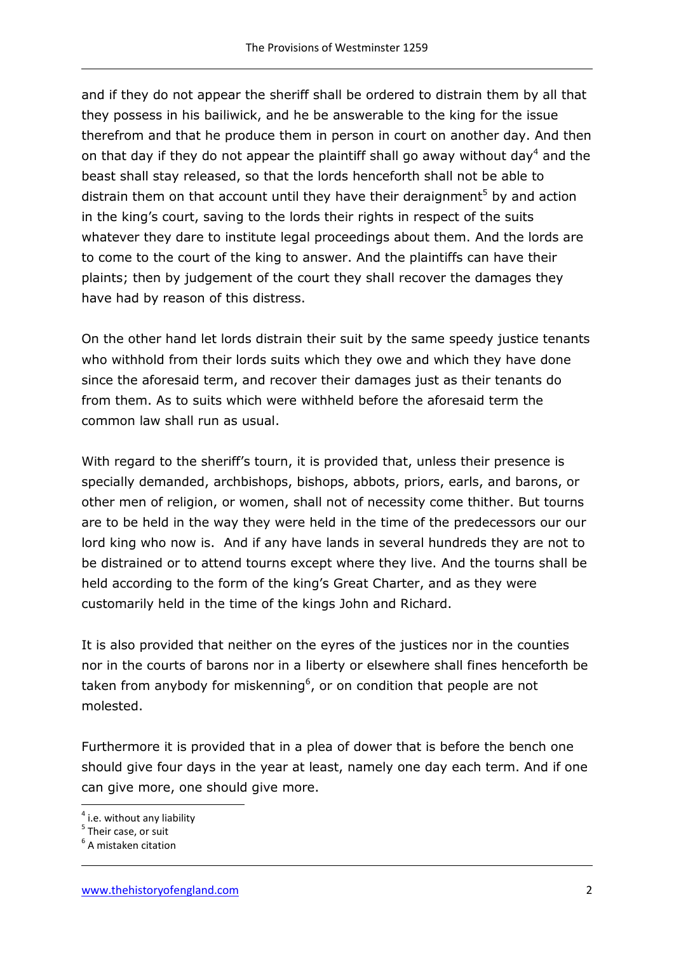and if they do not appear the sheriff shall be ordered to distrain them by all that they possess in his bailiwick, and he be answerable to the king for the issue therefrom and that he produce them in person in court on another day. And then on that day if they do not appear the plaintiff shall go away without day<sup>4</sup> and the beast shall stay released, so that the lords henceforth shall not be able to distrain them on that account until they have their deraignment<sup>5</sup> by and action in the king's court, saving to the lords their rights in respect of the suits whatever they dare to institute legal proceedings about them. And the lords are to come to the court of the king to answer. And the plaintiffs can have their plaints; then by judgement of the court they shall recover the damages they have had by reason of this distress.

On the other hand let lords distrain their suit by the same speedy justice tenants who withhold from their lords suits which they owe and which they have done since the aforesaid term, and recover their damages just as their tenants do from them. As to suits which were withheld before the aforesaid term the common law shall run as usual.

With regard to the sheriff's tourn, it is provided that, unless their presence is specially demanded, archbishops, bishops, abbots, priors, earls, and barons, or other men of religion, or women, shall not of necessity come thither. But tourns are to be held in the way they were held in the time of the predecessors our our lord king who now is. And if any have lands in several hundreds they are not to be distrained or to attend tourns except where they live. And the tourns shall be held according to the form of the king's Great Charter, and as they were customarily held in the time of the kings John and Richard.

It is also provided that neither on the eyres of the justices nor in the counties nor in the courts of barons nor in a liberty or elsewhere shall fines henceforth be taken from anybody for miskenning<sup>6</sup>, or on condition that people are not molested.

Furthermore it is provided that in a plea of dower that is before the bench one should give four days in the year at least, namely one day each term. And if one can give more, one should give more.

**.** 

 $<sup>4</sup>$  i.e. without any liability</sup>

<sup>&</sup>lt;sup>5</sup> Their case, or suit

<sup>&</sup>lt;sup>6</sup> A mistaken citation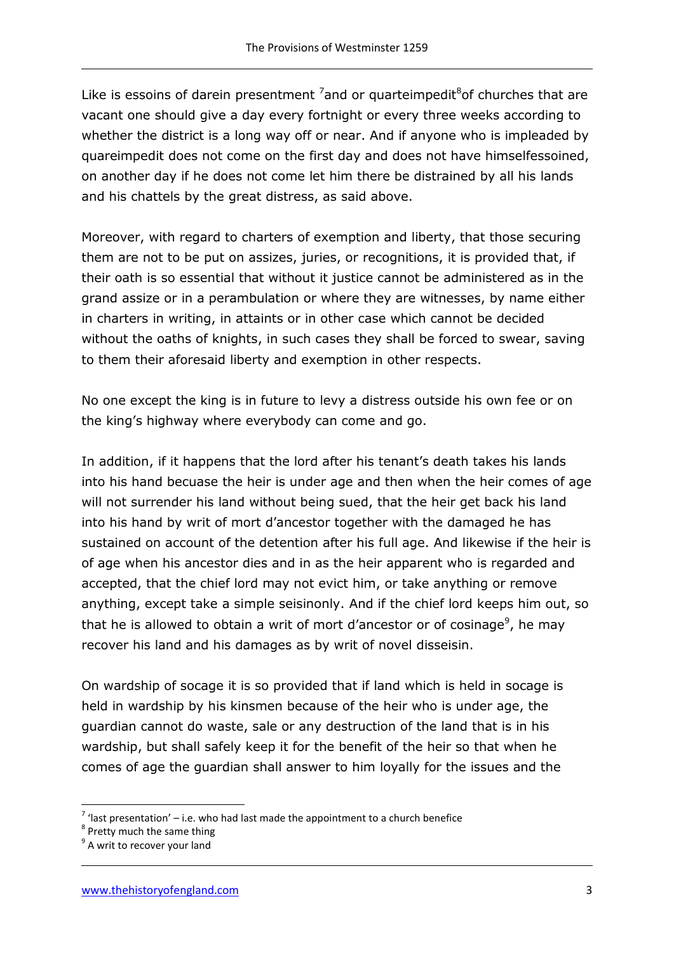Like is essoins of darein presentment  $\frac{7}{1}$  and or quarteimpedit $\frac{8}{10}$  churches that are vacant one should give a day every fortnight or every three weeks according to whether the district is a long way off or near. And if anyone who is impleaded by quareimpedit does not come on the first day and does not have himselfessoined, on another day if he does not come let him there be distrained by all his lands and his chattels by the great distress, as said above.

Moreover, with regard to charters of exemption and liberty, that those securing them are not to be put on assizes, juries, or recognitions, it is provided that, if their oath is so essential that without it justice cannot be administered as in the grand assize or in a perambulation or where they are witnesses, by name either in charters in writing, in attaints or in other case which cannot be decided without the oaths of knights, in such cases they shall be forced to swear, saving to them their aforesaid liberty and exemption in other respects.

No one except the king is in future to levy a distress outside his own fee or on the king's highway where everybody can come and go.

In addition, if it happens that the lord after his tenant's death takes his lands into his hand becuase the heir is under age and then when the heir comes of age will not surrender his land without being sued, that the heir get back his land into his hand by writ of mort d'ancestor together with the damaged he has sustained on account of the detention after his full age. And likewise if the heir is of age when his ancestor dies and in as the heir apparent who is regarded and accepted, that the chief lord may not evict him, or take anything or remove anything, except take a simple seisinonly. And if the chief lord keeps him out, so that he is allowed to obtain a writ of mort d'ancestor or of cosinage<sup>9</sup>, he may recover his land and his damages as by writ of novel disseisin.

On wardship of socage it is so provided that if land which is held in socage is held in wardship by his kinsmen because of the heir who is under age, the guardian cannot do waste, sale or any destruction of the land that is in his wardship, but shall safely keep it for the benefit of the heir so that when he comes of age the guardian shall answer to him loyally for the issues and the

 7 'last presentation' – i.e. who had last made the appointment to a church benefice

<sup>&</sup>lt;sup>8</sup> Pretty much the same thing

<sup>&</sup>lt;sup>9</sup> A writ to recover your land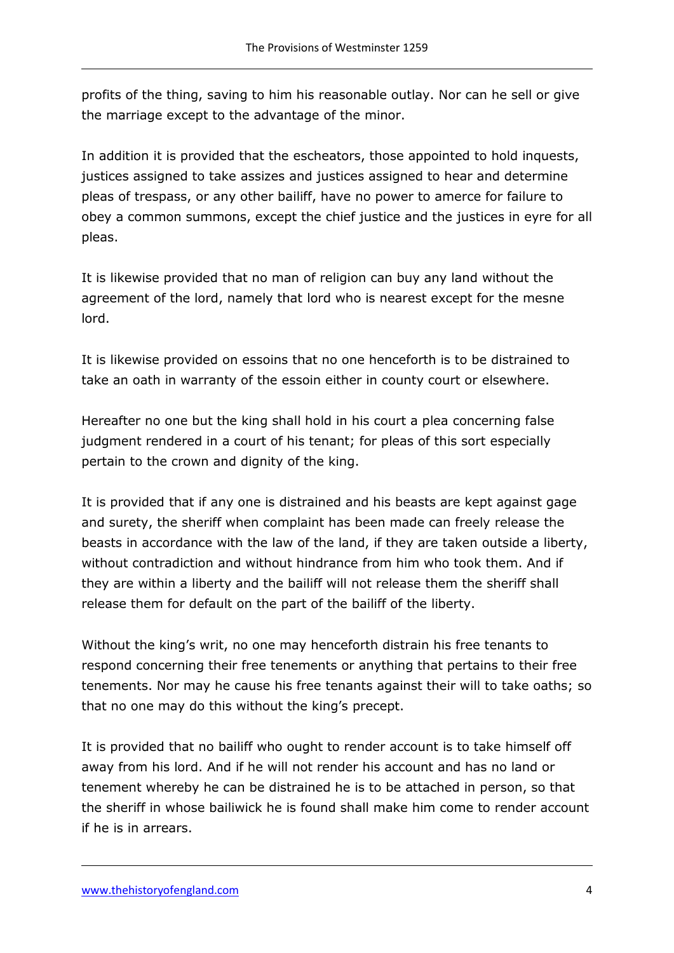profits of the thing, saving to him his reasonable outlay. Nor can he sell or give the marriage except to the advantage of the minor.

In addition it is provided that the escheators, those appointed to hold inquests, justices assigned to take assizes and justices assigned to hear and determine pleas of trespass, or any other bailiff, have no power to amerce for failure to obey a common summons, except the chief justice and the justices in eyre for all pleas.

It is likewise provided that no man of religion can buy any land without the agreement of the lord, namely that lord who is nearest except for the mesne lord.

It is likewise provided on essoins that no one henceforth is to be distrained to take an oath in warranty of the essoin either in county court or elsewhere.

Hereafter no one but the king shall hold in his court a plea concerning false judgment rendered in a court of his tenant; for pleas of this sort especially pertain to the crown and dignity of the king.

It is provided that if any one is distrained and his beasts are kept against gage and surety, the sheriff when complaint has been made can freely release the beasts in accordance with the law of the land, if they are taken outside a liberty, without contradiction and without hindrance from him who took them. And if they are within a liberty and the bailiff will not release them the sheriff shall release them for default on the part of the bailiff of the liberty.

Without the king's writ, no one may henceforth distrain his free tenants to respond concerning their free tenements or anything that pertains to their free tenements. Nor may he cause his free tenants against their will to take oaths; so that no one may do this without the king's precept.

It is provided that no bailiff who ought to render account is to take himself off away from his lord. And if he will not render his account and has no land or tenement whereby he can be distrained he is to be attached in person, so that the sheriff in whose bailiwick he is found shall make him come to render account if he is in arrears.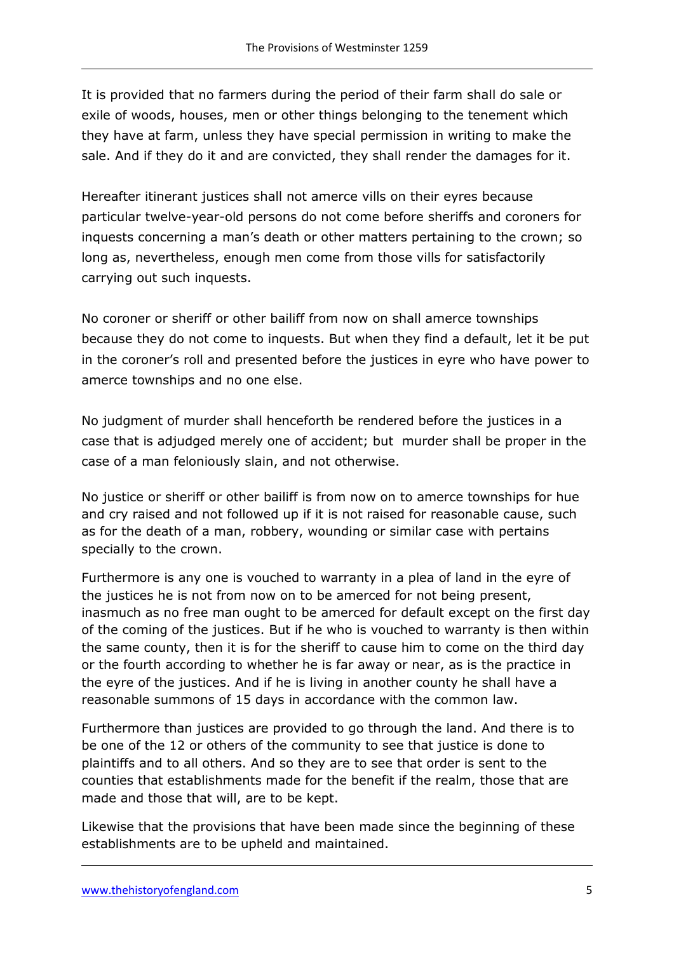It is provided that no farmers during the period of their farm shall do sale or exile of woods, houses, men or other things belonging to the tenement which they have at farm, unless they have special permission in writing to make the sale. And if they do it and are convicted, they shall render the damages for it.

Hereafter itinerant justices shall not amerce vills on their eyres because particular twelve-year-old persons do not come before sheriffs and coroners for inquests concerning a man's death or other matters pertaining to the crown; so long as, nevertheless, enough men come from those vills for satisfactorily carrying out such inquests.

No coroner or sheriff or other bailiff from now on shall amerce townships because they do not come to inquests. But when they find a default, let it be put in the coroner's roll and presented before the justices in eyre who have power to amerce townships and no one else.

No judgment of murder shall henceforth be rendered before the justices in a case that is adjudged merely one of accident; but murder shall be proper in the case of a man feloniously slain, and not otherwise.

No justice or sheriff or other bailiff is from now on to amerce townships for hue and cry raised and not followed up if it is not raised for reasonable cause, such as for the death of a man, robbery, wounding or similar case with pertains specially to the crown.

Furthermore is any one is vouched to warranty in a plea of land in the eyre of the justices he is not from now on to be amerced for not being present, inasmuch as no free man ought to be amerced for default except on the first day of the coming of the justices. But if he who is vouched to warranty is then within the same county, then it is for the sheriff to cause him to come on the third day or the fourth according to whether he is far away or near, as is the practice in the eyre of the justices. And if he is living in another county he shall have a reasonable summons of 15 days in accordance with the common law.

Furthermore than justices are provided to go through the land. And there is to be one of the 12 or others of the community to see that justice is done to plaintiffs and to all others. And so they are to see that order is sent to the counties that establishments made for the benefit if the realm, those that are made and those that will, are to be kept.

Likewise that the provisions that have been made since the beginning of these establishments are to be upheld and maintained.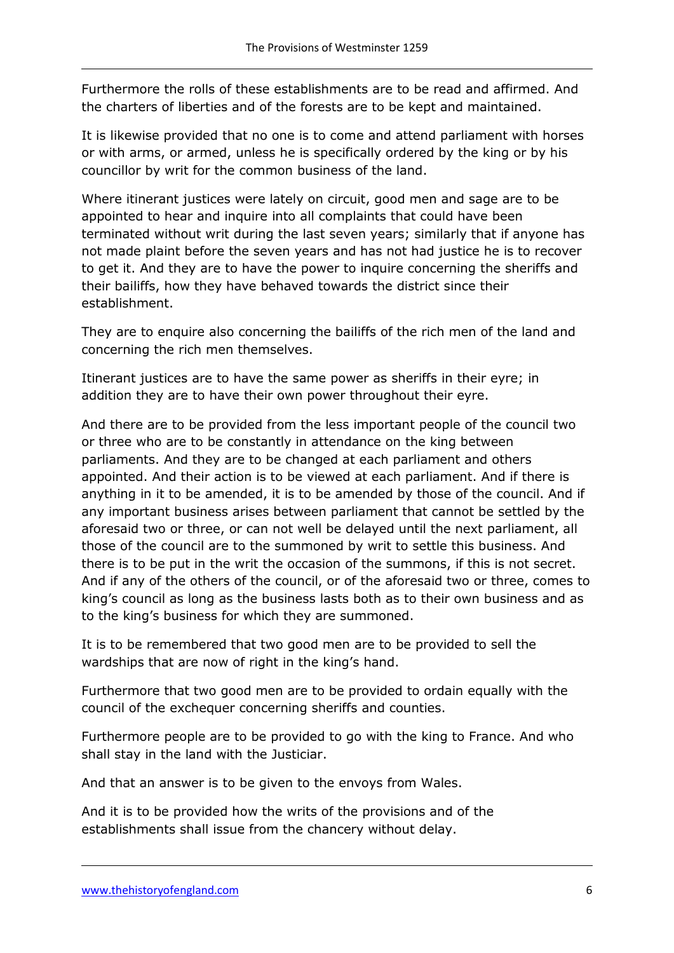Furthermore the rolls of these establishments are to be read and affirmed. And the charters of liberties and of the forests are to be kept and maintained.

It is likewise provided that no one is to come and attend parliament with horses or with arms, or armed, unless he is specifically ordered by the king or by his councillor by writ for the common business of the land.

Where itinerant justices were lately on circuit, good men and sage are to be appointed to hear and inquire into all complaints that could have been terminated without writ during the last seven years; similarly that if anyone has not made plaint before the seven years and has not had justice he is to recover to get it. And they are to have the power to inquire concerning the sheriffs and their bailiffs, how they have behaved towards the district since their establishment.

They are to enquire also concerning the bailiffs of the rich men of the land and concerning the rich men themselves.

Itinerant justices are to have the same power as sheriffs in their eyre; in addition they are to have their own power throughout their eyre.

And there are to be provided from the less important people of the council two or three who are to be constantly in attendance on the king between parliaments. And they are to be changed at each parliament and others appointed. And their action is to be viewed at each parliament. And if there is anything in it to be amended, it is to be amended by those of the council. And if any important business arises between parliament that cannot be settled by the aforesaid two or three, or can not well be delayed until the next parliament, all those of the council are to the summoned by writ to settle this business. And there is to be put in the writ the occasion of the summons, if this is not secret. And if any of the others of the council, or of the aforesaid two or three, comes to king's council as long as the business lasts both as to their own business and as to the king's business for which they are summoned.

It is to be remembered that two good men are to be provided to sell the wardships that are now of right in the king's hand.

Furthermore that two good men are to be provided to ordain equally with the council of the exchequer concerning sheriffs and counties.

Furthermore people are to be provided to go with the king to France. And who shall stay in the land with the Justiciar.

And that an answer is to be given to the envoys from Wales.

And it is to be provided how the writs of the provisions and of the establishments shall issue from the chancery without delay.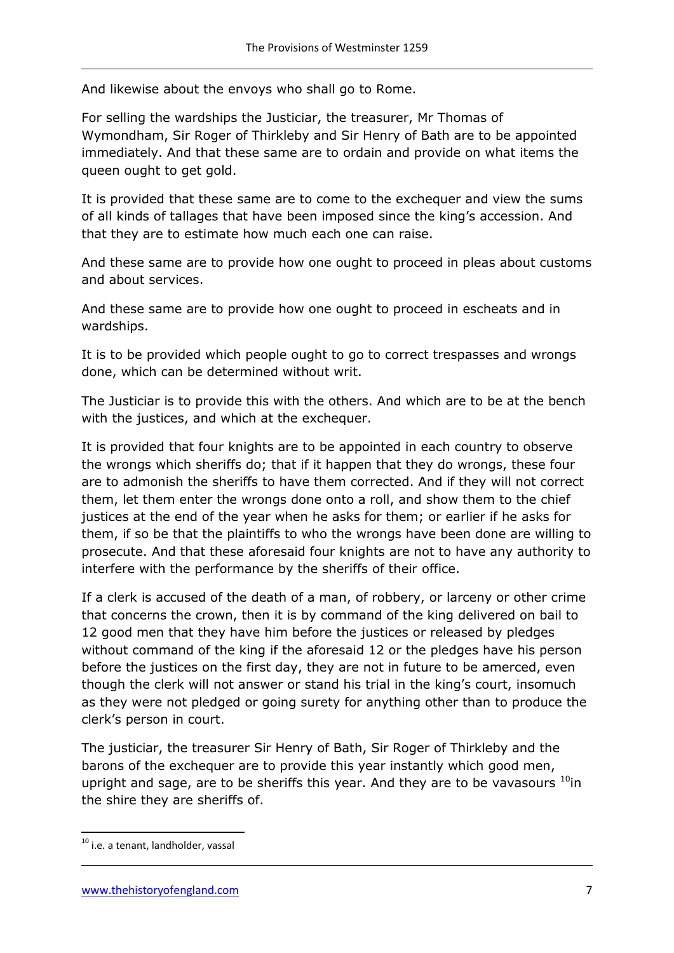And likewise about the envoys who shall go to Rome.

For selling the wardships the Justiciar, the treasurer, Mr Thomas of Wymondham, Sir Roger of Thirkleby and Sir Henry of Bath are to be appointed immediately. And that these same are to ordain and provide on what items the queen ought to get gold.

It is provided that these same are to come to the exchequer and view the sums of all kinds of tallages that have been imposed since the king's accession. And that they are to estimate how much each one can raise.

And these same are to provide how one ought to proceed in pleas about customs and about services.

And these same are to provide how one ought to proceed in escheats and in wardships.

It is to be provided which people ought to go to correct trespasses and wrongs done, which can be determined without writ.

The Justiciar is to provide this with the others. And which are to be at the bench with the justices, and which at the exchequer.

It is provided that four knights are to be appointed in each country to observe the wrongs which sheriffs do; that if it happen that they do wrongs, these four are to admonish the sheriffs to have them corrected. And if they will not correct them, let them enter the wrongs done onto a roll, and show them to the chief justices at the end of the year when he asks for them; or earlier if he asks for them, if so be that the plaintiffs to who the wrongs have been done are willing to prosecute. And that these aforesaid four knights are not to have any authority to interfere with the performance by the sheriffs of their office.

If a clerk is accused of the death of a man, of robbery, or larceny or other crime that concerns the crown, then it is by command of the king delivered on bail to 12 good men that they have him before the justices or released by pledges without command of the king if the aforesaid 12 or the pledges have his person before the justices on the first day, they are not in future to be amerced, even though the clerk will not answer or stand his trial in the king's court, insomuch as they were not pledged or going surety for anything other than to produce the clerk's person in court.

The justiciar, the treasurer Sir Henry of Bath, Sir Roger of Thirkleby and the barons of the exchequer are to provide this year instantly which good men, upright and sage, are to be sheriffs this year. And they are to be vavasours  $^{10}$ in the shire they are sheriffs of.

1

<sup>&</sup>lt;sup>10</sup> i.e. a tenant, landholder, vassal